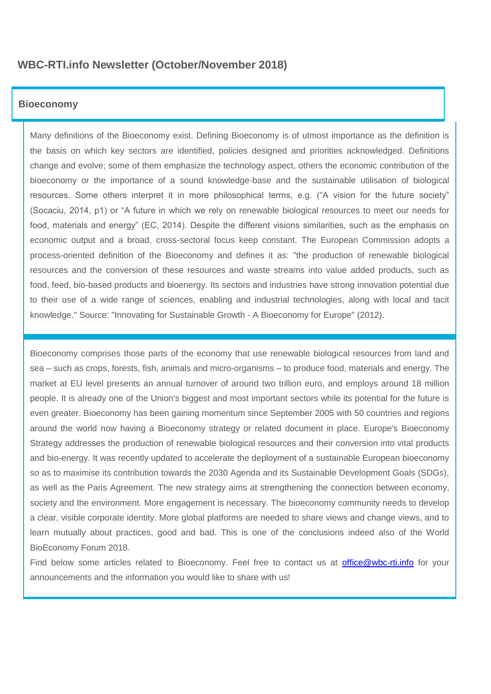# **WBC-RTI.info Newsletter (October/November 2018)**

## **Bioeconomy**

Many definitions of the Bioeconomy exist. Defining Bioeconomy is of utmost importance as the definition is the basis on which key sectors are identified, policies designed and priorities acknowledged. Definitions change and evolve; some of them emphasize the technology aspect, others the economic contribution of the bioeconomy or the importance of a sound knowledge-base and the sustainable utilisation of biological resources. Some others interpret it in more philosophical terms, e.g. ("A vision for the future society" (Socaciu, 2014, p1) or "A future in which we rely on renewable biological resources to meet our needs for food, materials and energy" (EC, 2014). Despite the different visions similarities, such as the emphasis on economic output and a broad, cross-sectoral focus keep constant. The European Commission adopts a process-oriented definition of the Bioeconomy and defines it as: "the production of renewable biological resources and the conversion of these resources and waste streams into value added products, such as food, feed, bio-based products and bioenergy. Its sectors and industries have strong innovation potential due to their use of a wide range of sciences, enabling and industrial technologies, along with local and tacit knowledge." Source: "Innovating for Sustainable Growth - A Bioeconomy for Europe" (2012).

Bioeconomy comprises those parts of the economy that use renewable biological resources from land and sea – such as crops, forests, fish, animals and micro-organisms – to produce food, materials and energy. The market at EU level presents an annual turnover of around two trillion euro, and employs around 18 million people. It is already one of the Union's biggest and most important sectors while its potential for the future is even greater. Bioeconomy has been gaining momentum since September 2005 with 50 countries and regions around the world now having a Bioeconomy strategy or related document in place. Europe's Bioeconomy Strategy addresses the production of renewable biological resources and their conversion into vital products and bio-energy. It was recently updated to accelerate the deployment of a sustainable European bioeconomy so as to maximise its contribution towards the 2030 Agenda and its Sustainable Development Goals (SDGs), as well as the Paris Agreement. The new strategy aims at strengthening the connection between economy, society and the environment. More engagement is necessary. The bioeconomy community needs to develop a clear, visible corporate identity. More global platforms are needed to share views and change views, and to learn mutually about practices, good and bad. This is one of the conclusions indeed also of the World BioEconomy Forum 2018.

Find below some articles related to Bioeconomy. Feel free to contact us at [office@wbc-rti.info](mailto:office@wbc-rti.info) for your announcements and the information you would like to share with us!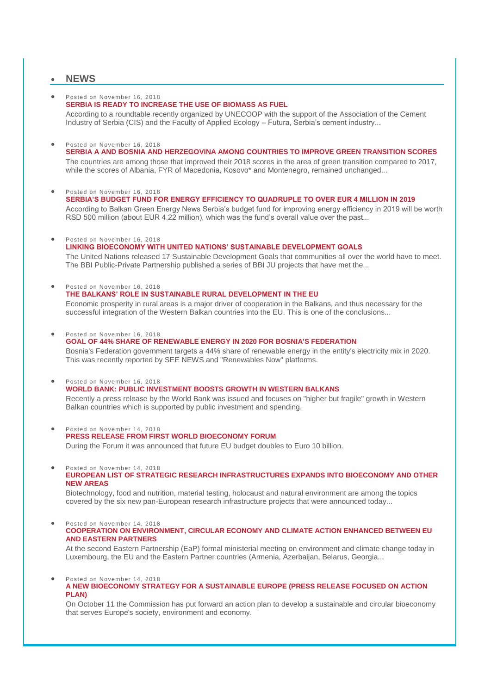## **NEWS**

## Posted on November 16, 2018

**[SERBIA IS READY TO INCREASE THE USE OF BIOMASS AS FUEL](https://wbc-rti.info/object/news/19618)**

According to a roundtable recently organized by UNECOOP with the support of the Association of the Cement Industry of Serbia (CIS) and the Faculty of Applied Ecology – Futura, Serbia's cement industry...

#### Posted on November 16, 2018 **[SERBIA A AND BOSNIA AND HERZEGOVINA AMONG COUNTRIES TO IMPROVE GREEN TRANSITION SCORES](https://wbc-rti.info/object/news/19617)**

The countries are among those that improved their 2018 scores in the area of green transition compared to 2017, while the scores of Albania, FYR of Macedonia, Kosovo\* and Montenegro, remained unchanged...

Posted on November 16, 2018

**[SERBIA'S BUDGET FUND FOR ENERGY EFFICIENCY TO QUADRUPLE TO OVER EUR 4 MILLION IN 2019](https://wbc-rti.info/object/news/19616)** According to Balkan Green Energy News Serbia's budget fund for improving energy efficiency in 2019 will be worth RSD 500 million (about EUR 4.22 million), which was the fund's overall value over the past...

#### Posted on November 16, 2018

**[LINKING BIOECONOMY WITH UNITED NATIONS' SUSTAINABLE DEVELOPMENT GOALS](https://wbc-rti.info/object/news/19613)** The United Nations released 17 Sustainable Development Goals that communities all over the world have to meet. The BBI Public-Private Partnership published a series of BBI JU projects that have met the...

 Posted on November 16, 2018 **[THE BALKANS' ROLE IN SUSTAINABLE RURAL DEVELOPMENT IN THE EU](https://wbc-rti.info/object/news/19608)**  Economic prosperity in rural areas is a major driver of cooperation in the Balkans, and thus necessary for the successful integration of the Western Balkan countries into the EU. This is one of the conclusions...

Posted on November 16, 2018

## **[GOAL OF 44% SHARE OF RENEWABLE ENERGY IN 2020 FOR BOSNIA'S FEDERATION](https://wbc-rti.info/object/news/19607)** Bosnia's Federation government targets a 44% share of renewable energy in the entity's electricity mix in 2020. This was recently reported by SEE NEWS and "Renewables Now" platforms.

### Posted on November 16, 2018 **[WORLD BANK: PUBLIC INVESTMENT BOOSTS GROWTH IN WESTERN BALKANS](https://wbc-rti.info/object/news/19606)** Recently a press release by the World Bank was issued and focuses on "higher but fragile" growth in Western Balkan countries which is supported by public investment and spending.

- Posted on November 14, 2018 **[PRESS RELEASE FROM FIRST WORLD BIOECONOMY FORUM](https://wbc-rti.info/object/news/19599)** During the Forum it was announced that future EU budget doubles to Euro 10 billion.
- Posted on November 14, 2018 **[EUROPEAN LIST OF STRATEGIC RESEARCH INFRASTRUCTURES EXPANDS INTO BIOECONOMY AND OTHER](https://wbc-rti.info/object/news/19598)  [NEW AREAS](https://wbc-rti.info/object/news/19598)**

Biotechnology, food and nutrition, material testing, holocaust and natural environment are among the topics covered by the six new pan-European research infrastructure projects that were announced today...

 Posted on November 14, 2018 **[COOPERATION ON ENVIRONMENT, CIRCULAR ECONOMY AND CLIMATE ACTION ENHANCED BETWEEN EU](https://wbc-rti.info/object/news/19583)  [AND EASTERN PARTNERS](https://wbc-rti.info/object/news/19583)**

At the second Eastern Partnership (EaP) formal ministerial meeting on environment and climate change today in Luxembourg, the EU and the Eastern Partner countries (Armenia, Azerbaijan, Belarus, Georgia...

 Posted on November 14, 2018 **[A NEW BIOECONOMY STRATEGY FOR A SUSTAINABLE EUROPE \(PRESS RELEASE FOCUSED ON ACTION](https://wbc-rti.info/object/news/19582)  [PLAN\)](https://wbc-rti.info/object/news/19582)**

On October 11 the Commission has put forward an action plan to develop a sustainable and circular bioeconomy that serves Europe's society, environment and economy.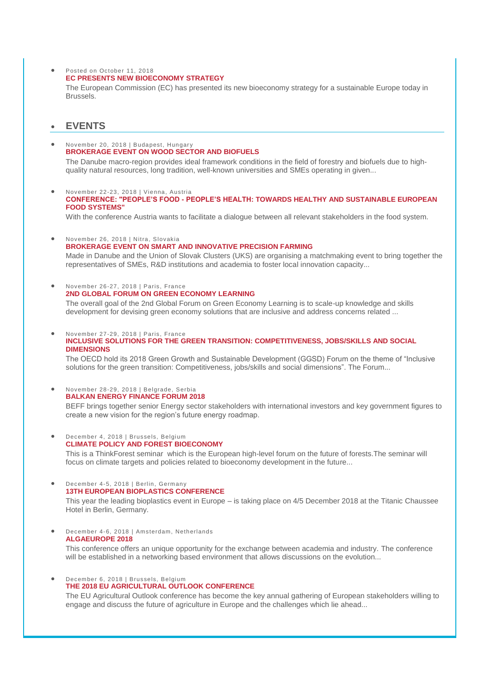## • Posted on October 11, 2018 **[EC PRESENTS NEW BIOECONOMY STRATEGY](https://wbc-rti.info/object/news/17977)**

The European Commission (EC) has presented its new bioeconomy strategy for a sustainable Europe today in Brussels.

# **EVENTS**

- November 20, 2018 | Budapest, Hungary **[BROKERAGE EVENT ON WOOD SECTOR AND BIOFUELS](https://wbc-rti.info/object/event/19621)** The Danube macro-region provides ideal framework conditions in the field of forestry and biofuels due to high
	- quality natural resources, long tradition, well-known universities and SMEs operating in given...
- November 22-23, 2018 | Vienna, Austria **CONFERENCE: "PEOPLE'S FOOD - [PEOPLE'S HEALTH: TOWARDS HEALTHY AND SUSTAINABLE EUROPEAN](https://wbc-rti.info/object/event/19591)  [FOOD SYSTEMS"](https://wbc-rti.info/object/event/19591)**

With the conference Austria wants to facilitate a dialogue between all relevant stakeholders in the food system.

- November 26, 2018 | Nitra, Slovakia **[BROKERAGE EVENT ON SMART AND INNOVATIVE PRECISION FARMING](https://wbc-rti.info/object/event/19622)** Made in Danube and the Union of Slovak Clusters (UKS) are organising a matchmaking event to bring together the representatives of SMEs, R&D institutions and academia to foster local innovation capacity...
- November 26-27, 2018 | Paris, France **[2ND GLOBAL FORUM ON GREEN ECONOMY LEARNING](https://wbc-rti.info/object/event/19597)**

The overall goal of the 2nd Global Forum on Green Economy Learning is to scale-up knowledge and skills development for devising green economy solutions that are inclusive and address concerns related ...

#### November 27-29, 2018 | Paris, France **[INCLUSIVE SOLUTIONS FOR THE GREEN TRANSITION: COMPETITIVENESS, JOBS/SKILLS AND SOCIAL](https://wbc-rti.info/object/event/19596)  [DIMENSIONS](https://wbc-rti.info/object/event/19596)**

The OECD hold its 2018 Green Growth and Sustainable Development (GGSD) Forum on the theme of "Inclusive solutions for the green transition: Competitiveness, jobs/skills and social dimensions". The Forum...

 November 28-29, 2018 | Belgrade, Serbia **[BALKAN ENERGY FINANCE FORUM 2018](https://wbc-rti.info/object/event/19590)**

BEFF brings together senior Energy sector stakeholders with international investors and key government figures to create a new vision for the region's future energy roadmap.

 December 4, 2018 | Brussels, Belgium **[CLIMATE POLICY AND FOREST BIOECONOMY](https://wbc-rti.info/object/event/19593)** This is a ThinkForest seminar which is the European high-level forum on the future of forests. The seminar will

focus on climate targets and policies related to bioeconomy development in the future...

 December 4-5, 2018 | Berlin, Germany **[13TH EUROPEAN BIOPLASTICS CONFERENCE](https://wbc-rti.info/object/event/19592)**

This year the leading bioplastics event in Europe – is taking place on 4/5 December 2018 at the Titanic Chaussee Hotel in Berlin, Germany.

 December 4-6, 2018 | Amsterdam, Netherlands **[ALGAEUROPE 2018](https://wbc-rti.info/object/event/19595)**

This conference offers an unique opportunity for the exchange between academia and industry. The conference will be established in a networking based environment that allows discussions on the evolution...

 December 6, 2018 | Brussels, Belgium **[THE 2018 EU AGRICULTURAL OUTLOOK CONFERENCE](https://wbc-rti.info/object/event/19594)**

The EU Agricultural Outlook conference has become the key annual gathering of European stakeholders willing to engage and discuss the future of agriculture in Europe and the challenges which lie ahead...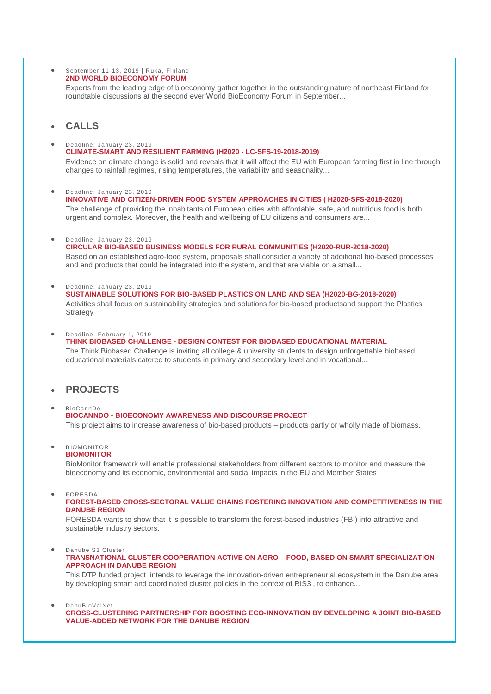September 11-13, 2019 | Ruka, Finland **[2ND WORLD BIOECONOMY FORUM](https://wbc-rti.info/object/event/19601)**

> Experts from the leading edge of bioeconomy gather together in the outstanding nature of northeast Finland for roundtable discussions at the second ever World BioEconomy Forum in September...

# **CALLS**

 Deadline: January 23, 2019 **[CLIMATE-SMART AND RESILIENT FARMING \(H2020 -](https://wbc-rti.info/object/call/19627) LC-SFS-19-2018-2019)** Evidence on climate change is solid and reveals that it will affect the EU with European farming first in line through changes to rainfall regimes, rising temperatures, the variability and seasonality...

 Deadline: January 23, 2019 **INNOVATIVE AND [CITIZEN-DRIVEN FOOD SYSTEM APPROACHES IN CITIES \( H2020-SFS-2018-2020\)](https://wbc-rti.info/object/call/19626)** The challenge of providing the inhabitants of European cities with affordable, safe, and nutritious food is both urgent and complex. Moreover, the health and wellbeing of EU citizens and consumers are...

Deadline: January 23, 2019

**[CIRCULAR BIO-BASED BUSINESS MODELS FOR RURAL COMMUNITIES \(H2020-RUR-2018-2020\)](https://wbc-rti.info/object/call/19620)** Based on an established agro-food system, proposals shall consider a variety of additional bio-based processes and end products that could be integrated into the system, and that are viable on a small...

 Deadline: January 23, 2019 **SUSTAINABLE SOLUTIONS [FOR BIO-BASED PLASTICS ON LAND AND SEA \(H2020-BG-2018-2020\)](https://wbc-rti.info/object/call/19619)** Activities shall focus on sustainability strategies and solutions for bio-based productsand support the Plastics **Strategy** 

 Deadline: February 1, 2019 **THINK BIOBASED CHALLENGE - [DESIGN CONTEST FOR BIOBASED EDUCATIONAL MATERIAL](https://wbc-rti.info/object/call/19612)**  The Think Biobased Challenge is inviting all college & university students to design unforgettable biobased educational materials catered to students in primary and secondary level and in vocational...

# **PROJECTS**

#### BioCannDo **BIOCANNDO - [BIOECONOMY AWARENESS AND DISCOURSE PROJECT](https://wbc-rti.info/object/project/19614)**  This project aims to increase awareness of bio-based products – products partly or wholly made of biomass.

 BIOMONITOR **[BIOMONITOR](https://wbc-rti.info/object/project/19611)**

BioMonitor framework will enable professional stakeholders from different sectors to monitor and measure the bioeconomy and its economic, environmental and social impacts in the EU and Member States

FORESDA

### **[FOREST-BASED CROSS-SECTORAL VALUE CHAINS FOSTERING INNOVATION AND COMPETITIVENESS IN THE](https://wbc-rti.info/object/project/17500)  [DANUBE REGION](https://wbc-rti.info/object/project/17500)**

FORESDA wants to show that it is possible to transform the forest-based industries (FBI) into attractive and sustainable industry sectors.

Danube S3 Cluster

### **[TRANSNATIONAL CLUSTER COOPERATION ACTIVE ON AGRO –](https://wbc-rti.info/object/project/17444) FOOD, BASED ON SMART SPECIALIZATION [APPROACH IN DANUBE REGION](https://wbc-rti.info/object/project/17444)**

This DTP funded project intends to leverage the innovation-driven entrepreneurial ecosystem in the Danube area by developing smart and coordinated cluster policies in the context of RIS3 , to enhance...

DanuBioValNet

**[CROSS-CLUSTERING PARTNERSHIP FOR BOOSTING ECO-INNOVATION BY DEVELOPING A JOINT BIO-BASED](https://wbc-rti.info/object/project/17441)  [VALUE-ADDED NETWORK FOR THE DANUBE REGION](https://wbc-rti.info/object/project/17441)**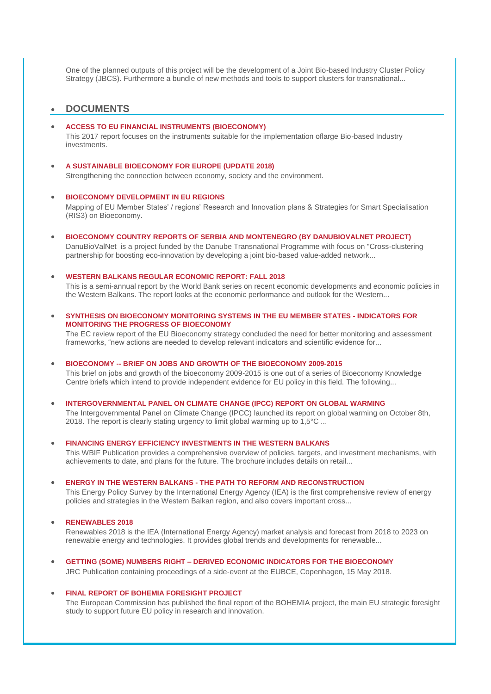One of the planned outputs of this project will be the development of a Joint Bio-based Industry Cluster Policy Strategy (JBCS). Furthermore a bundle of new methods and tools to support clusters for transnational...

## **DOCUMENTS**

#### **[ACCESS TO EU FINANCIAL INSTRUMENTS \(BIOECONOMY\)](https://wbc-rti.info/object/document/19628)**

This 2017 report focuses on the instruments suitable for the implementation oflarge Bio-based Industry investments.

### **[A SUSTAINABLE BIOECONOMY FOR EUROPE \(UPDATE 2018\)](https://wbc-rti.info/object/document/19624)**

Strengthening the connection between economy, society and the environment.

#### **[BIOECONOMY DEVELOPMENT IN EU REGIONS](https://wbc-rti.info/object/document/19623)**

Mapping of EU Member States' / regions' Research and Innovation plans & Strategies for Smart Specialisation (RIS3) on Bioeconomy.

 **[BIOECONOMY COUNTRY REPORTS OF SERBIA AND MONTENEGRO \(BY DANUBIOVALNET PROJECT\)](https://wbc-rti.info/object/document/19610)** DanuBioValNet is a project funded by the Danube Transnational Programme with focus on "Cross-clustering partnership for boosting eco-innovation by developing a joint bio-based value-added network...

## **[WESTERN BALKANS REGULAR ECONOMIC REPORT: FALL 2018](https://wbc-rti.info/object/document/19605)**

This is a semi-annual report by the World Bank series on recent economic developments and economic policies in the Western Balkans. The report looks at the economic performance and outlook for the Western...

 **[SYNTHESIS ON BIOECONOMY MONITORING SYSTEMS IN THE EU MEMBER STATES -](https://wbc-rti.info/object/document/19603) INDICATORS FOR [MONITORING THE PROGRESS OF BIOECONOMY](https://wbc-rti.info/object/document/19603)**

The EC review report of the EU Bioeconomy strategy concluded the need for better monitoring and assessment frameworks, "new actions are needed to develop relevant indicators and scientific evidence for...

#### **BIOECONOMY -- [BRIEF ON JOBS AND GROWTH OF THE BIOECONOMY 2009-2015](https://wbc-rti.info/object/document/19602)** This brief on jobs and growth of the bioeconomy 2009-2015 is one out of a series of Bioeconomy Knowledge

Centre briefs which intend to provide independent evidence for EU policy in this field. The following...

 **[INTERGOVERNMENTAL PANEL ON CLIMATE CHANGE \(IPCC\) REPORT ON GLOBAL WARMING](https://wbc-rti.info/object/document/19600)** The Intergovernmental Panel on Climate Change (IPCC) launched its report on global warming on October 8th, 2018. The report is clearly stating urgency to limit global warming up to 1,5°C ...

#### **[FINANCING ENERGY EFFICIENCY INVESTMENTS IN THE WESTERN BALKANS](https://wbc-rti.info/object/document/19587)**

This WBIF Publication provides a comprehensive overview of policies, targets, and investment mechanisms, with achievements to date, and plans for the future. The brochure includes details on retail...

**ENERGY IN THE WESTERN BALKANS - [THE PATH TO REFORM AND RECONSTRUCTION](https://wbc-rti.info/object/document/19585)**

This Energy Policy Survey by the International Energy Agency (IEA) is the first comprehensive review of energy policies and strategies in the Western Balkan region, and also covers important cross...

## **[RENEWABLES 2018](https://wbc-rti.info/object/document/19584)**

Renewables 2018 is the IEA (International Energy Agency) market analysis and forecast from 2018 to 2023 on renewable energy and technologies. It provides global trends and developments for renewable...

 **GETTING (SOME) NUMBERS RIGHT – [DERIVED ECONOMIC INDICATORS FOR THE BIOECONOMY](https://wbc-rti.info/object/document/19581)** JRC Publication containing proceedings of a side-event at the EUBCE, Copenhagen, 15 May 2018.

### **[FINAL REPORT OF BOHEMIA FORESIGHT PROJECT](https://wbc-rti.info/object/document/17264)**

The European Commission has published the final report of the BOHEMIA project, the main EU strategic foresight study to support future EU policy in research and innovation.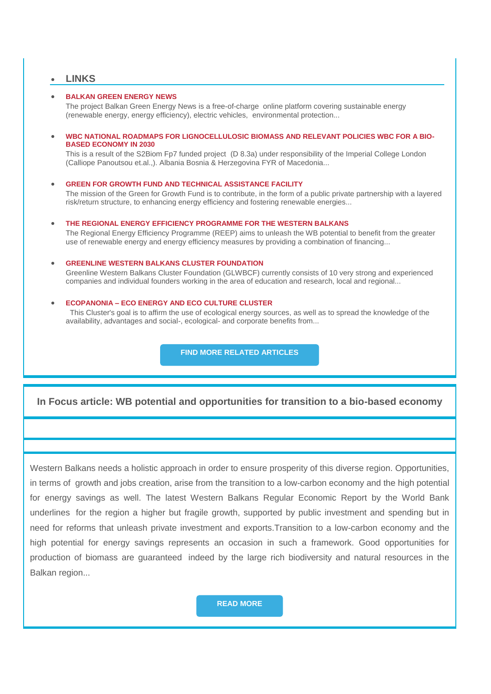## **LINKS**

### **[BALKAN GREEN ENERGY NEWS](https://wbc-rti.info/object/link/19615)**

The project Balkan Green Energy News is a free-of-charge online platform covering sustainable energy (renewable energy, energy efficiency), electric vehicles, environmental protection...

 **WBC NATIONAL ROADMAPS FOR [LIGNOCELLULOSIC BIOMASS AND RELEVANT POLICIES WBC FOR A BIO-](https://wbc-rti.info/object/link/19589)[BASED ECONOMY IN 2030](https://wbc-rti.info/object/link/19589)**

This is a result of the S2Biom Fp7 funded project (D 8.3a) under responsibility of the Imperial College London (Calliope Panoutsou et.al.,). Albania Bosnia & Herzegovina FYR of Macedonia...

## **[GREEN FOR GROWTH FUND AND TECHNICAL ASSISTANCE FACILITY](https://wbc-rti.info/object/link/19588)**

The mission of the Green for Growth Fund is to contribute, in the form of a public private partnership with a layered risk/return structure, to enhancing energy efficiency and fostering renewable energies...

**[THE REGIONAL ENERGY EFFICIENCY PROGRAMME FOR THE WESTERN BALKANS](https://wbc-rti.info/object/link/19586)** 

The Regional Energy Efficiency Programme (REEP) aims to unleash the WB potential to benefit from the greater use of renewable energy and energy efficiency measures by providing a combination of financing...

#### **[GREENLINE WESTERN BALKANS CLUSTER FOUNDATION](https://wbc-rti.info/object/link/17443)**

Greenline Western Balkans Cluster Foundation (GLWBCF) currently consists of 10 very strong and experienced companies and individual founders working in the area of education and research, local and regional...

#### **ECOPANONIA – [ECO ENERGY AND ECO CULTURE CLUSTER](https://wbc-rti.info/object/link/17442)**

This Cluster's goal is to affirm the use of ecological energy sources, as well as to spread the knowledge of the availability, advantages and social-, ecological- and corporate benefits from...

**[FIND MORE RELATED ARTICLES](https://wbc-rti.info/theme/51)**

# **In Focus article: WB potential and opportunities for transition to a bio-based economy**

Western Balkans needs a holistic approach in order to ensure prosperity of this diverse region. Opportunities, in terms of growth and jobs creation, arise from the transition to a low-carbon economy and the high potential for energy savings as well. The latest Western Balkans Regular Economic Report by the World Bank underlines for the region a higher but fragile growth, supported by public investment and spending but in need for reforms that unleash private investment and exports.Transition to a low-carbon economy and the high potential for energy savings represents an occasion in such a framework. Good opportunities for production of biomass are guaranteed indeed by the large rich biodiversity and natural resources in the Balkan region...

**[READ MORE](https://wbc-rti.info/in_focus)**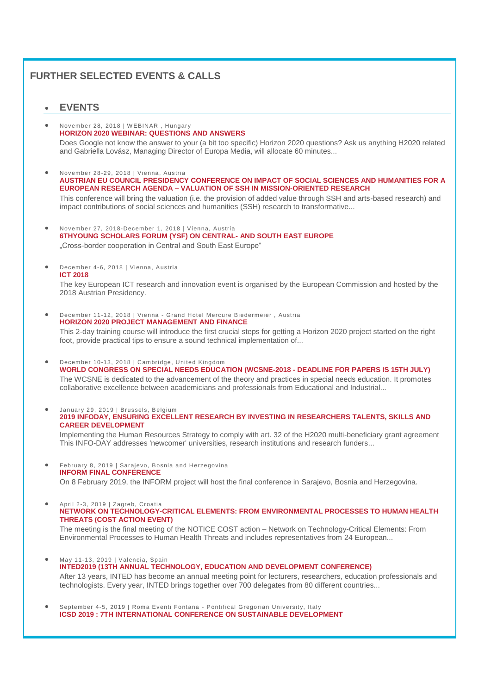# **FURTHER SELECTED EVENTS & CALLS**

# **EVENTS**

- November 28, 2018 | W EBINAR , Hungary **[HORIZON 2020 WEBINAR: QUESTIONS AND ANSWERS](https://wbc-rti.info/object/event/19580)** Does Google not know the answer to your (a bit too specific) Horizon 2020 questions? Ask us anything H2020 related and Gabriella Lovász, Managing Director of Europa Media, will allocate 60 minutes...
- November 28-29, 2018 | Vienna, Austria **[AUSTRIAN EU COUNCIL PRESIDENCY CONFERENCE ON IMPACT OF SOCIAL SCIENCES AND HUMANITIES FOR A](https://wbc-rti.info/object/event/17079)  EUROPEAN RESEARCH AGENDA – [VALUATION OF SSH IN MISSION-ORIENTED RESEARCH](https://wbc-rti.info/object/event/17079)** This conference will bring the valuation (i.e. the provision of added value through SSH and arts-based research) and impact contributions of social sciences and humanities (SSH) research to transformative...

 November 27, 2018-December 1, 2018 | Vienna, Austria **[6THYOUNG SCHOLARS FORUM \(YSF\) ON CENTRAL-](https://wbc-rti.info/object/event/17190) AND SOUTH EAST EUROPE** "Cross-border cooperation in Central and South East Europe"

 December 4-6, 2018 | Vienna, Austria **[ICT 2018](https://wbc-rti.info/object/event/16977)**

The key European ICT research and innovation event is organised by the European Commission and hosted by the 2018 Austrian Presidency.

 December 11-12, 2018 | Vienna - Grand Hotel Mercure Biedermeier , Austria **[HORIZON 2020 PROJECT MANAGEMENT AND FINANCE](https://wbc-rti.info/object/event/17322)** This 2-day training course will introduce the first crucial steps for getting a Horizon 2020 project started on the right foot, provide practical tips to ensure a sound technical implementation of...

 December 10-13, 2018 | Cambridge, United Kingdom **[WORLD CONGRESS ON SPECIAL NEEDS EDUCATION \(WCSNE-2018 -](https://wbc-rti.info/object/event/17021) DEADLINE FOR PAPERS IS 15TH JULY)** The WCSNE is dedicated to the advancement of the theory and practices in special needs education. It promotes collaborative excellence between academicians and professionals from Educational and Industrial...

 January 29, 2019 | Brussels, Belgium **[2019 INFODAY, ENSURING EXCELLENT RESEARCH BY INVESTING IN RESEARCHERS TALENTS, SKILLS AND](https://wbc-rti.info/object/event/17899)  [CAREER DEVELOPMENT](https://wbc-rti.info/object/event/17899)**

Implementing the Human Resources Strategy to comply with art. 32 of the H2020 multi-beneficiary grant agreement This INFO-DAY addresses 'newcomer' universities, research institutions and research funders...

 February 8, 2019 | Sarajevo, Bosnia and Herzegovina **[INFORM FINAL CONFERENCE](https://wbc-rti.info/object/event/17478)** On 8 February 2019, the INFORM project will host the final conference in Sarajevo, Bosnia and Herzegovina.

 April 2-3, 2019 | Zagreb, Croatia **[NETWORK ON TECHNOLOGY-CRITICAL ELEMENTS: FROM ENVIRONMENTAL PROCESSES TO HUMAN HEALTH](https://wbc-rti.info/object/event/17917)  [THREATS \(COST ACTION EVENT\)](https://wbc-rti.info/object/event/17917)** The meeting is the final meeting of the NOTICE COST action – Network on Technology-Critical Elements: From Environmental Processes to Human Health Threats and includes representatives from 24 European...

- May 11-13, 2019 | Valencia, Spain **[INTED2019 \(13TH ANNUAL TECHNOLOGY, EDUCATION AND DEVELOPMENT CONFERENCE\)](https://wbc-rti.info/object/event/17495)**  After 13 years, INTED has become an annual meeting point for lecturers, researchers, education professionals and technologists. Every year, INTED brings together over 700 delegates from 80 different countries...
- September 4-5, 2019 | Roma Eventi Fontana Pontifical Gregorian University, Italy **[ICSD 2019 : 7TH INTERNATIONAL CONFERENCE ON SUSTAINABLE DEVELOPMENT](https://wbc-rti.info/object/event/16629)**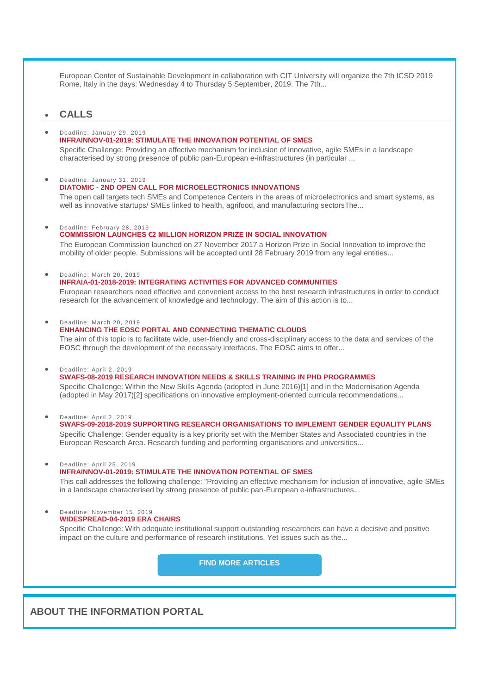European Center of Sustainable Development in collaboration with CIT University will organize the 7th ICSD 2019 Rome, Italy in the days: Wednesday 4 to Thursday 5 September, 2019. The 7th...

## **CALLS**

## Deadline: January 29, 2019

## **[INFRAINNOV-01-2019: STIMULATE THE INNOVATION POTENTIAL OF SMES](https://wbc-rti.info/object/call/16932)**

Specific Challenge: Providing an effective mechanism for inclusion of innovative, agile SMEs in a landscape characterised by strong presence of public pan-European e-infrastructures (in particular ...

#### Deadline: January 31, 2019 **DIATOMIC - [2ND OPEN CALL FOR MICROELECTRONICS INNOVATIONS](https://wbc-rti.info/object/call/19604)**

The open call targets tech SMEs and Competence Centers in the areas of microelectronics and smart systems, as well as innovative startups/ SMEs linked to health, agrifood, and manufacturing sectorsThe...

### Deadline: February 28, 2019

### **[COMMISSION LAUNCHES €2 MILLION HORIZON PRIZE IN SOCIAL INNOVATION](https://wbc-rti.info/object/call/16687)**

The European Commission launched on 27 November 2017 a Horizon Prize in Social Innovation to improve the mobility of older people. Submissions will be accepted until 28 February 2019 from any legal entities...

## Deadline: March 20, 2019

### **[INFRAIA-01-2018-2019: INTEGRATING ACTIVITIES FOR ADVANCED COMMUNITIES](https://wbc-rti.info/object/call/16934)**

European researchers need effective and convenient access to the best research infrastructures in order to conduct research for the advancement of knowledge and technology. The aim of this action is to...

#### Deadline: March 20, 2019

## **[ENHANCING THE EOSC PORTAL AND CONNECTING THEMATIC CLOUDS](https://wbc-rti.info/object/call/17989)**

The aim of this topic is to facilitate wide, user-friendly and cross-disciplinary access to the data and services of the EOSC through the development of the necessary interfaces. The EOSC aims to offer...

#### Deadline: April 2, 2019

## **[SWAFS-08-2019 RESEARCH INNOVATION NEEDS & SKILLS TRAINING IN PHD PROGRAMMES](https://wbc-rti.info/object/call/16621)**  Specific Challenge: Within the New Skills Agenda (adopted in June 2016)[1] and in the Modernisation Agenda

(adopted in May 2017)[2] specifications on innovative employment-oriented curricula recommendations...

Deadline: April 2, 2019

#### **[SWAFS-09-2018-2019 SUPPORTING RESEARCH ORGANISATIONS TO IMPLEMENT GENDER EQUALITY PLANS](https://wbc-rti.info/object/call/16622)**  Specific Challenge: Gender equality is a key priority set with the Member States and Associated countries in the European Research Area. Research funding and performing organisations and universities...

#### Deadline: April 25, 2019 **[INFRAINNOV-01-2019: STIMULATE THE INNOVATION POTENTIAL OF SMES](https://wbc-rti.info/object/call/17987)**

This call addresses the following challenge: "Providing an effective mechanism for inclusion of innovative, agile SMEs in a landscape characterised by strong presence of public pan-European e-infrastructures...

#### Deadline: November 15, 2019 **[WIDESPREAD-04-2019 ERA CHAIRS](https://wbc-rti.info/object/call/16617)**

Specific Challenge: With adequate institutional support outstanding researchers can have a decisive and positive impact on the culture and performance of research institutions. Yet issues such as the...

**[FIND MORE ARTICLES](https://wbc-rti.info/)**

**ABOUT THE INFORMATION PORTAL**